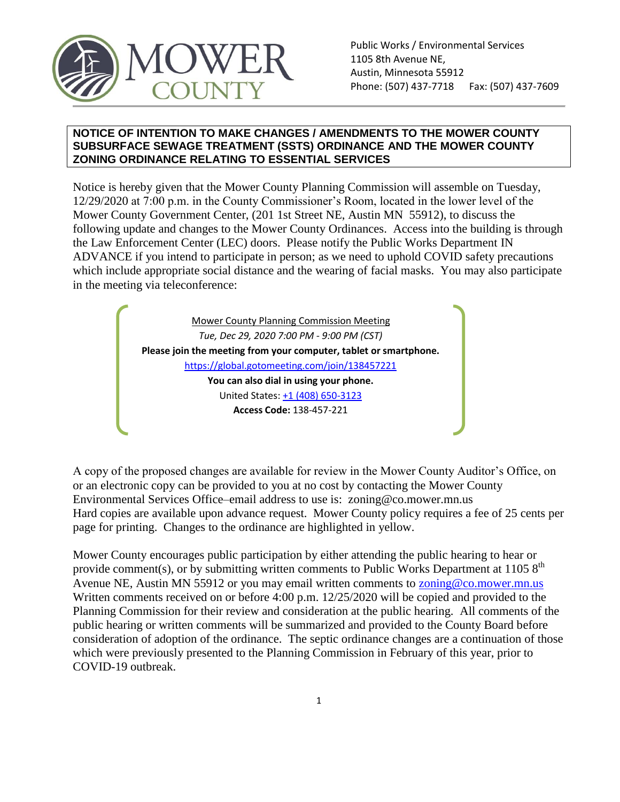

#### **NOTICE OF INTENTION TO MAKE CHANGES / AMENDMENTS TO THE MOWER COUNTY SUBSURFACE SEWAGE TREATMENT (SSTS) ORDINANCE AND THE MOWER COUNTY ZONING ORDINANCE RELATING TO ESSENTIAL SERVICES**

Notice is hereby given that the Mower County Planning Commission will assemble on Tuesday, 12/29/2020 at 7:00 p.m. in the County Commissioner's Room, located in the lower level of the Mower County Government Center, (201 1st Street NE, Austin MN 55912), to discuss the following update and changes to the Mower County Ordinances. Access into the building is through the Law Enforcement Center (LEC) doors. Please notify the Public Works Department IN ADVANCE if you intend to participate in person; as we need to uphold COVID safety precautions which include appropriate social distance and the wearing of facial masks. You may also participate in the meeting via teleconference:

> Mower County Planning Commission Meeting *Tue, Dec 29, 2020 7:00 PM - 9:00 PM (CST)* **Please join the meeting from your computer, tablet or smartphone.**  <https://global.gotomeeting.com/join/138457221> **You can also dial in using your phone.** United States[: +1 \(408\) 650-3123](tel:+14086503123,,138457221) **Access Code:** 138-457-221

A copy of the proposed changes are available for review in the Mower County Auditor's Office, on or an electronic copy can be provided to you at no cost by contacting the Mower County Environmental Services Office–email address to use is: zoning@co.mower.mn.us Hard copies are available upon advance request. Mower County policy requires a fee of 25 cents per page for printing. Changes to the ordinance are highlighted in yellow.

Mower County encourages public participation by either attending the public hearing to hear or provide comment(s), or by submitting written comments to Public Works Department at 1105  $8<sup>th</sup>$ Avenue NE, Austin MN 55912 or you may email written comments to **zoning@co.mower.mn.us** Written comments received on or before 4:00 p.m. 12/25/2020 will be copied and provided to the Planning Commission for their review and consideration at the public hearing. All comments of the public hearing or written comments will be summarized and provided to the County Board before consideration of adoption of the ordinance. The septic ordinance changes are a continuation of those which were previously presented to the Planning Commission in February of this year, prior to COVID-19 outbreak.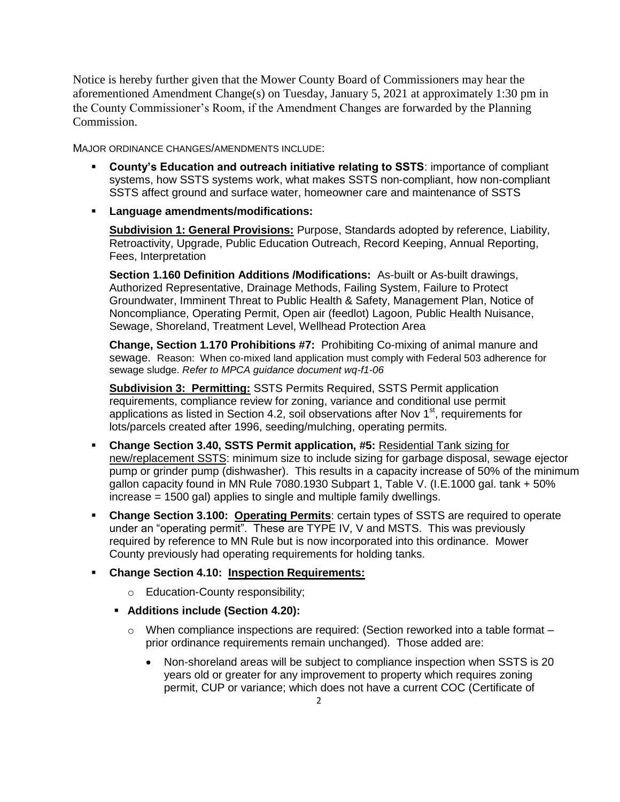Notice is hereby further given that the Mower County Board of Commissioners may hear the aforementioned Amendment Change(s) on Tuesday, January 5, 2021 at approximately 1:30 pm in the County Commissioner's Room, if the Amendment Changes are forwarded by the Planning Commission.

MAJOR ORDINANCE CHANGES/AMENDMENTS INCLUDE:

- **County's Education and outreach initiative relating to SSTS**: importance of compliant systems, how SSTS systems work, what makes SSTS non-compliant, how non-compliant SSTS affect ground and surface water, homeowner care and maintenance of SSTS
- **Language amendments/modifications:**

**Subdivision 1: General Provisions:** Purpose, Standards adopted by reference, Liability, Retroactivity, Upgrade, Public Education Outreach, Record Keeping, Annual Reporting, Fees, Interpretation

**Section 1.160 Definition Additions /Modifications:** As-built or As-built drawings, Authorized Representative, Drainage Methods, Failing System, Failure to Protect Groundwater, Imminent Threat to Public Health & Safety, Management Plan, Notice of Noncompliance, Operating Permit, Open air (feedlot) Lagoon, Public Health Nuisance, Sewage, Shoreland, Treatment Level, Wellhead Protection Area

**Change, Section 1.170 Prohibitions #7:** Prohibiting Co-mixing of animal manure and sewage. Reason: When co-mixed land application must comply with Federal 503 adherence for sewage sludge. *Refer to MPCA guidance document wq-f1-06*

**Subdivision 3: Permitting:** SSTS Permits Required, SSTS Permit application requirements, compliance review for zoning, variance and conditional use permit applications as listed in Section 4.2, soil observations after Nov 1<sup>st</sup>, requirements for lots/parcels created after 1996, seeding/mulching, operating permits.

- **Change Section 3.40, SSTS Permit application, #5:** Residential Tank sizing for new/replacement SSTS: minimum size to include sizing for garbage disposal, sewage ejector pump or grinder pump (dishwasher). This results in a capacity increase of 50% of the minimum gallon capacity found in MN Rule 7080.1930 Subpart 1, Table V. (I.E.1000 gal. tank + 50% increase = 1500 gal) applies to single and multiple family dwellings.
- **Change Section 3.100: Operating Permits**: certain types of SSTS are required to operate under an "operating permit". These are TYPE IV, V and MSTS. This was previously required by reference to MN Rule but is now incorporated into this ordinance. Mower County previously had operating requirements for holding tanks.

# **Change Section 4.10: Inspection Requirements:**

- o Education-County responsibility;
- **Additions include (Section 4.20):**
	- o When compliance inspections are required: (Section reworked into a table format prior ordinance requirements remain unchanged). Those added are:
		- Non-shoreland areas will be subject to compliance inspection when SSTS is 20 years old or greater for any improvement to property which requires zoning permit, CUP or variance; which does not have a current COC (Certificate of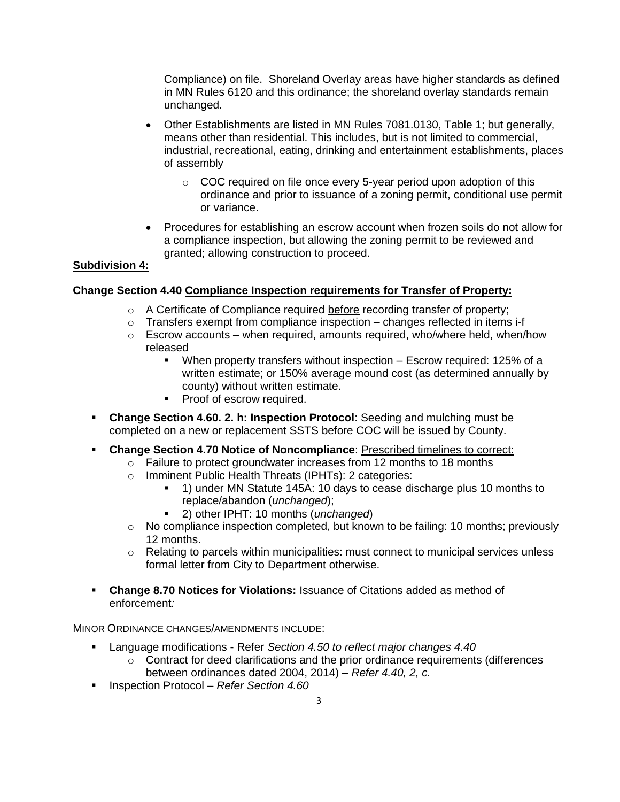Compliance) on file. Shoreland Overlay areas have higher standards as defined in MN Rules 6120 and this ordinance; the shoreland overlay standards remain unchanged.

- Other Establishments are listed in MN Rules 7081.0130, Table 1; but generally, means other than residential. This includes, but is not limited to commercial, industrial, recreational, eating, drinking and entertainment establishments, places of assembly
	- $\circ$  COC required on file once every 5-year period upon adoption of this ordinance and prior to issuance of a zoning permit, conditional use permit or variance.
- Procedures for establishing an escrow account when frozen soils do not allow for a compliance inspection, but allowing the zoning permit to be reviewed and granted; allowing construction to proceed.

## **Subdivision 4:**

## **Change Section 4.40 Compliance Inspection requirements for Transfer of Property:**

- o A Certificate of Compliance required before recording transfer of property;
- $\circ$  Transfers exempt from compliance inspection changes reflected in items i-f
- $\circ$  Escrow accounts when required, amounts required, who/where held, when/how released
	- When property transfers without inspection Escrow required: 125% of a written estimate; or 150% average mound cost (as determined annually by county) without written estimate.
	- Proof of escrow required.
- **Change Section 4.60. 2. h: Inspection Protocol**: Seeding and mulching must be completed on a new or replacement SSTS before COC will be issued by County.
- **Change Section 4.70 Notice of Noncompliance**: Prescribed timelines to correct:
	- o Failure to protect groundwater increases from 12 months to 18 months
	- o Imminent Public Health Threats (IPHTs): 2 categories:
		- 1) under MN Statute 145A: 10 days to cease discharge plus 10 months to replace/abandon (*unchanged*);
		- 2) other IPHT: 10 months (*unchanged*)
	- o No compliance inspection completed, but known to be failing: 10 months; previously 12 months.
	- $\circ$  Relating to parcels within municipalities: must connect to municipal services unless formal letter from City to Department otherwise.
- **Change 8.70 Notices for Violations:** Issuance of Citations added as method of enforcement*:*

MINOR ORDINANCE CHANGES/AMENDMENTS INCLUDE:

- Language modifications Refer *Section 4.50 to reflect major changes 4.40*
	- $\circ$  Contract for deed clarifications and the prior ordinance requirements (differences between ordinances dated 2004, 2014) – *Refer 4.40, 2, c.*
- Inspection Protocol *Refer Section 4.60*